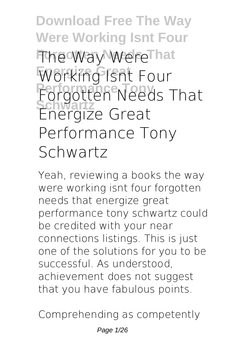**Download Free The Way Were Working Isnt Four The Way WereThat Energize Great Working Isnt Four Performance Tony Forgotten Needs That Schwartz Energize Great Performance Tony Schwartz**

Yeah, reviewing a books **the way were working isnt four forgotten needs that energize great performance tony schwartz** could be credited with your near connections listings. This is just one of the solutions for you to be successful. As understood, achievement does not suggest that you have fabulous points.

Comprehending as competently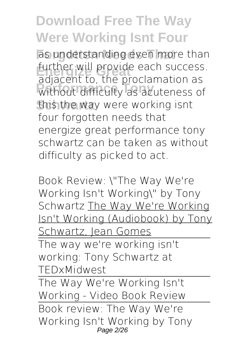as understanding even more than further will provide each success. **Performance Tony** without difficulty as acuteness of **this the way were working isnt** adjacent to, the proclamation as four forgotten needs that energize great performance tony schwartz can be taken as without difficulty as picked to act.

*Book Review: \"The Way We're Working Isn't Working\" by Tony Schwartz* The Way We're Working Isn't Working (Audiobook) by Tony Schwartz, Jean Gomes

The way we're working isn't working: Tony Schwartz at TEDxMidwest

The Way We're Working Isn't Working - Video Book Review Book review: The Way We're Working Isn't Working by Tony Page 2/26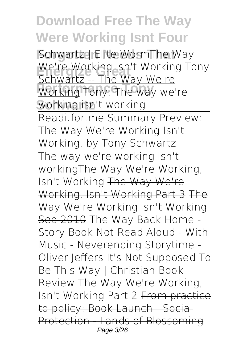**Forgotten Needs That** Schwartz | Elite Worm**The Way** We're Working Isn't Working Tony<br>Cobwartz Libe Way Wo're **Performance Tony** Working **Tony: The way we're Schwartz working isn't working** Schwartz -- The Way We're Readitfor.me Summary Preview: The Way We're Working Isn't Working, by Tony Schwartz The way we're working isn't working**The Way We're Working, Isn't Working** The Way We're Working, Isn't Working Part 3 The Way We're Working isn't Working Sep 2010 The Way Back Home - Story Book Not Read Aloud - With Music - Neverending Storytime - Oliver Jeffers *It's Not Supposed To Be This Way | Christian Book Review* The Way We're Working, Isn't Working Part 2 From practice to policy: Book Launch - Social Protection Lands of Blossoming Page 3/26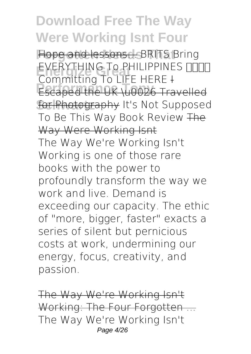**Forgotten Needs That** Hope and lessons... *BRITS Bring* **Energize Great** *Committing To LIFE HERE* I **Performance Tony** Escaped the UK \u0026 Travelled **Schwartz** for Photography *It's Not Supposed* **EVERYTHING TO PHILIPPINES NOTI** *To Be This Way Book Review* The Way Were Working Isnt The Way We're Working Isn't Working is one of those rare books with the power to profoundly transform the way we work and live. Demand is exceeding our capacity. The ethic of "more, bigger, faster" exacts a series of silent but pernicious costs at work, undermining our energy, focus, creativity, and passion.

The Way We're Working Isn't Working: The Four Forgotten ... The Way We're Working Isn't Page 4/26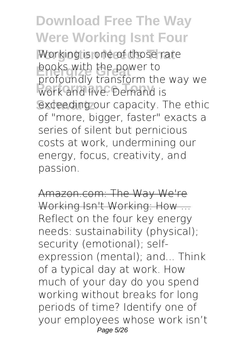Working is one of those rare **Energize Great** profoundly transform the way we **Performance Tony** work and live. Demand is exceeding our capacity. The ethic books with the power to of "more, bigger, faster" exacts a series of silent but pernicious costs at work, undermining our energy, focus, creativity, and passion.

Amazon.com: The Way We're Working Isn't Working: How ... Reflect on the four key energy needs: sustainability (physical); security (emotional); selfexpression (mental); and... Think of a typical day at work. How much of your day do you spend working without breaks for long periods of time? Identify one of your employees whose work isn't Page 5/26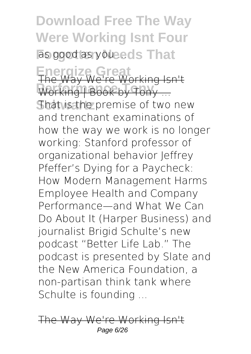**Download Free The Way Were Working Isnt Four** as good as you ... eds That **Energize Great** The Way We're Working Isn't **Performance Tony** Working | Book by Tony ... **That is the premise of two new** and trenchant examinations of how the way we work is no longer working: Stanford professor of organizational behavior Jeffrey Pfeffer's Dying for a Paycheck: How Modern Management Harms Employee Health and Company Performance—and What We Can Do About It (Harper Business) and journalist Brigid Schulte's new podcast "Better Life Lab." The podcast is presented by Slate and the New America Foundation, a non-partisan think tank where Schulte is founding ...

The Way We're Working Page 6/26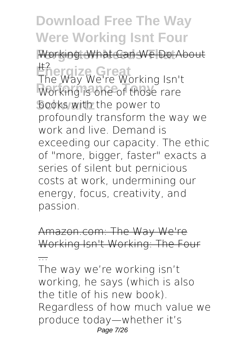Working. What Can We Do About **Energize Great** It? **Performance Tomming Isle books with the power to** The Way We're Working Isn't profoundly transform the way we work and live. Demand is exceeding our capacity. The ethic of "more, bigger, faster" exacts a series of silent but pernicious costs at work, undermining our energy, focus, creativity, and passion.

Amazon.com: The Way We're Working Isn't Working: The Four

...

The way we're working isn't working, he says (which is also the title of his new book). Regardless of how much value we produce today—whether it's Page 7/26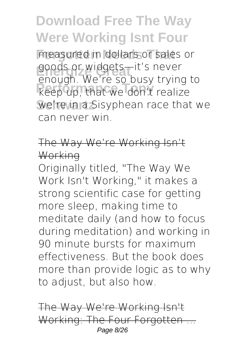measured in dollars or sales or goods or widgets—it's never **Performance Tony** keep up, that we don't realize We're in a Sisyphean race that we enough. We're so busy trying to can never win.

#### The Way We're Working Isn't **Working**

Originally titled, "The Way We Work Isn't Working," it makes a strong scientific case for getting more sleep, making time to meditate daily (and how to focus during meditation) and working in 90 minute bursts for maximum effectiveness. But the book does more than provide logic as to why to adjust, but also how.

The Way We're Working Isn't Working: The Four Forgotten Page 8/26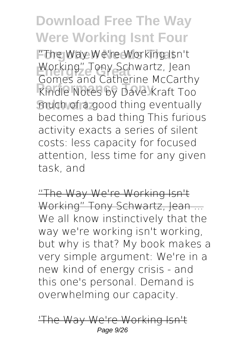**Forgotten Needs That** "The Way We're Working Isn't Working" Tony Schwartz, Jean<br>Cames and Catherine McCarth **Performance Tony** Kindle Notes by Dave Kraft Too much of a good thing eventually Gomes and Catherine McCarthy becomes a bad thing This furious activity exacts a series of silent costs: less capacity for focused attention, less time for any given task, and

"The Way We're Working Isn't Working" Tony Schwartz, Jean ... We all know instinctively that the way we're working isn't working, but why is that? My book makes a very simple argument: We're in a new kind of energy crisis - and this one's personal. Demand is overwhelming our capacity.

'The Way We're Working Isn't Page 9/26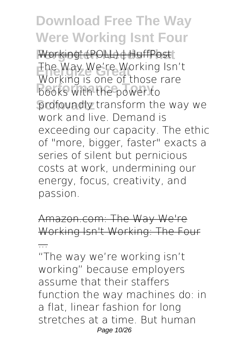$Working' (POLL) + HuffPost$ **Energize Great** The Way We're Working Isn't **Production** profoundly transform the way we Working is one of those rare work and live. Demand is exceeding our capacity. The ethic of "more, bigger, faster" exacts a series of silent but pernicious costs at work, undermining our energy, focus, creativity, and passion.

Amazon.com: The Way We're Working Isn't Working: The Four

...

"The way we're working isn't working" because employers assume that their staffers function the way machines do: in a flat, linear fashion for long stretches at a time. But human Page 10/26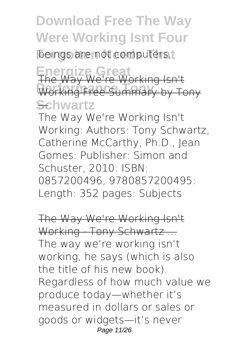beings are not computers.

**Energize Great** The Way We're Working Isn't **Performance Tony** Working Free Summary by Tony **Schwartz** ...

The Way We're Working Isn't Working: Authors: Tony Schwartz, Catherine McCarthy, Ph.D., Jean Gomes: Publisher: Simon and Schuster, 2010: ISBN: 0857200496, 9780857200495: Length: 352 pages: Subjects

The Way We're Working Isn't Working - Tony Schwartz ... The way we're working isn't working, he says (which is also the title of his new book). Regardless of how much value we produce today—whether it's measured in dollars or sales or goods or widgets—it's never Page 11/26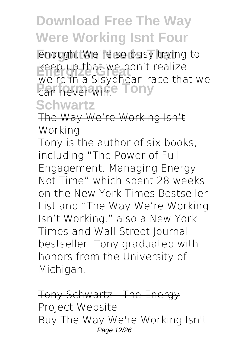**Enough.** We're so busy trying to **Energize Great** we're in a Sisyphean race that we *Can never win.* **Pony** keep up that we don't realize

#### **Schwartz**

The Way We're Working Isn't **Working** 

Tony is the author of six books, including "The Power of Full Engagement: Managing Energy Not Time" which spent 28 weeks on the New York Times Bestseller List and "The Way We're Working Isn't Working," also a New York Times and Wall Street Journal bestseller. Tony graduated with honors from the University of Michigan.

Tony Schwartz - The Energy Project Website Buy The Way We're Working Isn't Page 12/26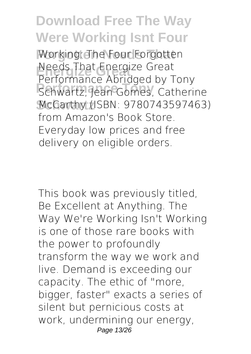Working: The Four Forgotten **Energize Great** Performance Abridged by Tony **Performance Tony** Schwartz, Jean Gomes, Catherine McCarthy (ISBN: 9780743597463) Needs That Energize Great from Amazon's Book Store. Everyday low prices and free delivery on eligible orders.

This book was previously titled, Be Excellent at Anything. The Way We're Working Isn't Working is one of those rare books with the power to profoundly transform the way we work and live. Demand is exceeding our capacity. The ethic of "more, bigger, faster" exacts a series of silent but pernicious costs at work, undermining our energy, Page 13/26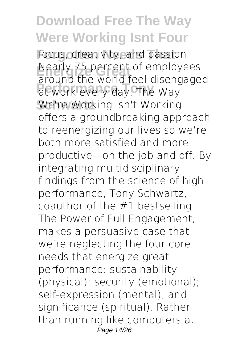focus, creativity, and passion. Nearly 75 percent of employees **Performance Tony** at work every day. The Way We're Working Isn't Working around the world feel disengaged offers a groundbreaking approach to reenergizing our lives so we're both more satisfied and more productive—on the job and off. By integrating multidisciplinary findings from the science of high performance, Tony Schwartz, coauthor of the #1 bestselling The Power of Full Engagement, makes a persuasive case that we're neglecting the four core needs that energize great performance: sustainability (physical); security (emotional); self-expression (mental); and significance (spiritual). Rather than running like computers at Page 14/26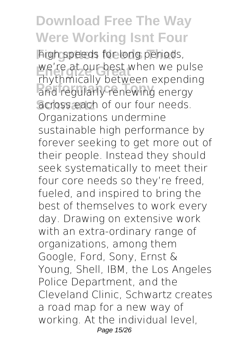high speeds for long periods, we're at our best when we pulse<br>Fhythmically between expending **Performance Tony** and regularly renewing energy across each of our four needs. rhythmically between expending Organizations undermine sustainable high performance by forever seeking to get more out of their people. Instead they should seek systematically to meet their four core needs so they're freed, fueled, and inspired to bring the best of themselves to work every day. Drawing on extensive work with an extra-ordinary range of organizations, among them Google, Ford, Sony, Ernst & Young, Shell, IBM, the Los Angeles Police Department, and the Cleveland Clinic, Schwartz creates a road map for a new way of working. At the individual level, Page 15/26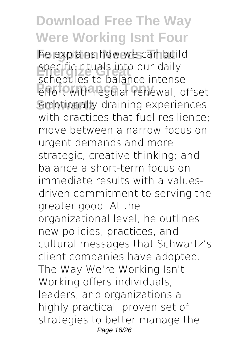he explains how we can build specific rituals into our daily<br>Schodules to belance intoner **Performance Tony** effort with regular renewal; offset emotionally draining experiences schedules to balance intense with practices that fuel resilience; move between a narrow focus on urgent demands and more strategic, creative thinking; and balance a short-term focus on immediate results with a valuesdriven commitment to serving the greater good. At the organizational level, he outlines new policies, practices, and cultural messages that Schwartz's client companies have adopted. The Way We're Working Isn't Working offers individuals, leaders, and organizations a highly practical, proven set of strategies to better manage the Page 16/26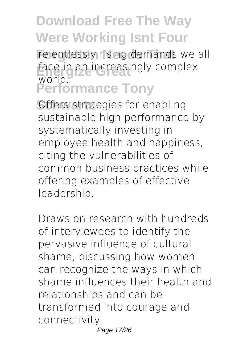relentlessly rising demands we all face in an increasingly complex<br>world **Performance Tony** world.

**Offers strategies for enabling** sustainable high performance by systematically investing in employee health and happiness, citing the vulnerabilities of common business practices while offering examples of effective leadership.

Draws on research with hundreds of interviewees to identify the pervasive influence of cultural shame, discussing how women can recognize the ways in which shame influences their health and relationships and can be transformed into courage and connectivity. Page 17/26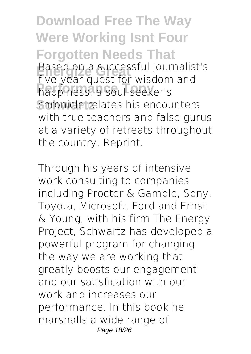**Download Free The Way Were Working Isnt Four Forgotten Needs That End on a successful journalist's**<br>Five *Vent avect for widdom* and **Performance Tony** happiness, a soul-seeker's **Schwartz** chronicle relates his encounters five-year quest for wisdom and with true teachers and false gurus at a variety of retreats throughout the country. Reprint.

Through his years of intensive work consulting to companies including Procter & Gamble, Sony, Toyota, Microsoft, Ford and Ernst & Young, with his firm The Energy Project, Schwartz has developed a powerful program for changing the way we are working that greatly boosts our engagement and our satisfication with our work and increases our performance. In this book he marshalls a wide range of Page 18/26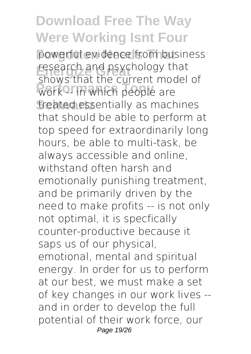powerful evidence from business research and psychology that<br>From that the current model work<sup>2</sup> in which people are **Schwartz** treated essentially as machines shows that the current model of that should be able to perform at top speed for extraordinarily long hours, be able to multi-task, be always accessible and online, withstand often harsh and emotionally punishing treatment, and be primarily driven by the need to make profits -- is not only not optimal, it is specfically counter-productive because it saps us of our physical, emotional, mental and spiritual energy. In order for us to perform at our best, we must make a set of key changes in our work lives - and in order to develop the full potential of their work force, our Page 19/26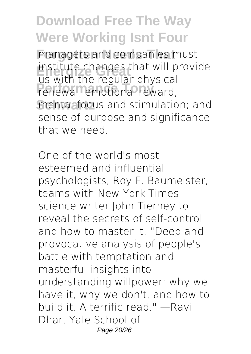managers and companies must institute changes that will provide<br>Lis with the requier physical **Performance Tony** renewal, emotional reward, mental focus and stimulation; and us with the regular physical sense of purpose and significance that we need.

One of the world's most esteemed and influential psychologists, Roy F. Baumeister, teams with New York Times science writer John Tierney to reveal the secrets of self-control and how to master it. "Deep and provocative analysis of people's battle with temptation and masterful insights into understanding willpower: why we have it, why we don't, and how to build it. A terrific read." —Ravi Dhar, Yale School of Page 20/26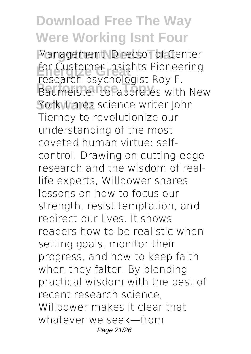Management, Director of Center **Energize Great** for Customer Insights Pioneering **Performance Tony Tony Tony Schwartz** York Times science writer John research psychologist Roy F. Tierney to revolutionize our understanding of the most coveted human virtue: selfcontrol. Drawing on cutting-edge research and the wisdom of reallife experts, Willpower shares lessons on how to focus our strength, resist temptation, and redirect our lives. It shows readers how to be realistic when setting goals, monitor their progress, and how to keep faith when they falter. By blending practical wisdom with the best of recent research science, Willpower makes it clear that whatever we seek—from Page 21/26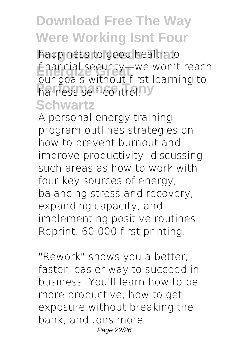**Forgotten Needs That** happiness to good health to financial security—we won't reach<br>aux gools without first loarning to **Performance** Tony our goals without first learning to

#### **Schwartz**

A personal energy training program outlines strategies on how to prevent burnout and improve productivity, discussing such areas as how to work with four key sources of energy, balancing stress and recovery, expanding capacity, and implementing positive routines. Reprint. 60,000 first printing.

"Rework" shows you a better, faster, easier way to succeed in business. You'll learn how to be more productive, how to get exposure without breaking the bank, and tons more Page 22/26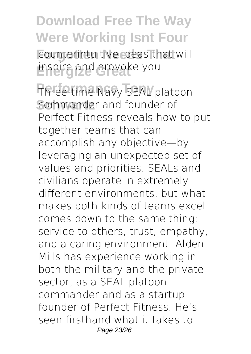counterintuitive ideas that will **Energize Great** inspire and provoke you.

Three-time Navy SEAL platoon **Schwartz** commander and founder of Perfect Fitness reveals how to put together teams that can accomplish any objective—by leveraging an unexpected set of values and priorities. SEALs and civilians operate in extremely different environments, but what makes both kinds of teams excel comes down to the same thing: service to others, trust, empathy, and a caring environment. Alden Mills has experience working in both the military and the private sector, as a SEAL platoon commander and as a startup founder of Perfect Fitness. He's seen firsthand what it takes to Page 23/26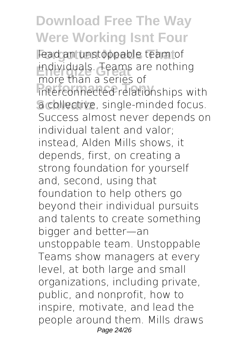lead an unstoppable team of individuals. Teams are nothing **Interconnected relationships with Schwartz** a collective, single-minded focus. more than a series of Success almost never depends on individual talent and valor; instead, Alden Mills shows, it depends, first, on creating a strong foundation for yourself and, second, using that foundation to help others go beyond their individual pursuits and talents to create something bigger and better—an unstoppable team. Unstoppable Teams show managers at every level, at both large and small organizations, including private, public, and nonprofit, how to inspire, motivate, and lead the people around them. Mills draws Page 24/26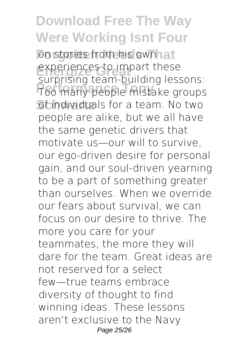on stories from his ownhat experiences to impart these **Performance Tony** Too many people mistake groups **Scindividuals for a team. No two** surprising team-building lessons: people are alike, but we all have the same genetic drivers that motivate us—our will to survive, our ego-driven desire for personal gain, and our soul-driven yearning to be a part of something greater than ourselves. When we override our fears about survival, we can focus on our desire to thrive. The more you care for your teammates, the more they will dare for the team. Great ideas are not reserved for a select few—true teams embrace diversity of thought to find winning ideas. These lessons aren't exclusive to the Navy Page 25/26